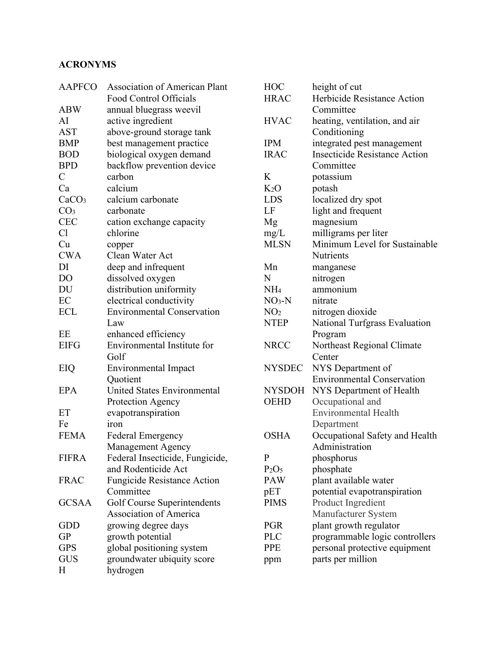## **ACRONYMS**

| <b>AAPFCO</b>     | <b>Association of American Plant</b> |  |  |
|-------------------|--------------------------------------|--|--|
|                   | Food Control Officials               |  |  |
| <b>ABW</b>        | annual bluegrass weevil              |  |  |
| AI                | active ingredient                    |  |  |
| <b>AST</b>        | above-ground storage tank            |  |  |
| <b>BMP</b>        | best management practice             |  |  |
| <b>BOD</b>        | biological oxygen demand             |  |  |
| <b>BPD</b>        | backflow prevention device           |  |  |
| $\mathcal{C}$     | carbon                               |  |  |
| Ca                | calcium                              |  |  |
| CaCO <sub>3</sub> | calcium carbonate                    |  |  |
| CO <sub>3</sub>   | carbonate                            |  |  |
| <b>CEC</b>        | cation exchange capacity             |  |  |
| Cl                | chlorine                             |  |  |
| Cu                | copper                               |  |  |
| <b>CWA</b>        | Clean Water Act                      |  |  |
| DI                | deep and infrequent                  |  |  |
| DO                | dissolved oxygen                     |  |  |
| DU                | distribution uniformity              |  |  |
| EC                | electrical conductivity              |  |  |
| <b>ECL</b>        | <b>Environmental Conservation</b>    |  |  |
|                   | Law                                  |  |  |
| EE                | enhanced efficiency                  |  |  |
| <b>EIFG</b>       | Environmental Institute for          |  |  |
|                   | Golf                                 |  |  |
| EIQ               | <b>Environmental Impact</b>          |  |  |
|                   | Quotient                             |  |  |
| <b>EPA</b>        | <b>United States Environmental</b>   |  |  |
|                   | Protection Agency                    |  |  |
| ET                | evapotranspiration                   |  |  |
| Fe                | iron                                 |  |  |
| <b>FEMA</b>       | <b>Federal Emergency</b>             |  |  |
|                   | Management Agency                    |  |  |
| <b>FIFRA</b>      | Federal Insecticide, Fungicide,      |  |  |
|                   | and Rodenticide Act                  |  |  |
| <b>FRAC</b>       | <b>Fungicide Resistance Action</b>   |  |  |
|                   | Committee                            |  |  |
| <b>GCSAA</b>      | <b>Golf Course Superintendents</b>   |  |  |
|                   | <b>Association of America</b>        |  |  |
| GDD               | growing degree days                  |  |  |
| <b>GP</b>         | growth potential                     |  |  |
| <b>GPS</b>        | global positioning system            |  |  |
| <b>GUS</b>        | groundwater ubiquity score           |  |  |
| H                 | hydrogen                             |  |  |
|                   |                                      |  |  |

| <b>HOC</b>                    | height of cut                        |  |  |
|-------------------------------|--------------------------------------|--|--|
| <b>HRAC</b>                   | Herbicide Resistance Action          |  |  |
|                               | Committee                            |  |  |
| <b>HVAC</b>                   | heating, ventilation, and air        |  |  |
|                               | Conditioning                         |  |  |
| <b>IPM</b>                    | integrated pest management           |  |  |
| <b>IRAC</b>                   | <b>Insecticide Resistance Action</b> |  |  |
|                               | Committee                            |  |  |
| K                             | potassium                            |  |  |
| K <sub>2</sub> O              | potash                               |  |  |
| <b>LDS</b>                    | localized dry spot                   |  |  |
| LF                            | light and frequent                   |  |  |
| Mg                            | magnesium                            |  |  |
| mg/L                          | milligrams per liter                 |  |  |
| <b>MLSN</b>                   | Minimum Level for Sustainable        |  |  |
|                               | <b>Nutrients</b>                     |  |  |
| Mn                            | manganese                            |  |  |
| N                             | nitrogen                             |  |  |
| NH <sub>4</sub>               | ammonium                             |  |  |
| $NO3-N$                       | nitrate                              |  |  |
| NO <sub>2</sub>               | nitrogen dioxide                     |  |  |
| <b>NTEP</b>                   | National Turfgrass Evaluation        |  |  |
|                               | Program                              |  |  |
| <b>NRCC</b>                   | Northeast Regional Climate           |  |  |
|                               | Center                               |  |  |
| <b>NYSDEC</b>                 | NYS Department of                    |  |  |
|                               | <b>Environmental Conservation</b>    |  |  |
| <b>NYSDOH</b>                 | NYS Department of Health             |  |  |
| <b>OEHD</b>                   | Occupational and                     |  |  |
|                               | <b>Environmental Health</b>          |  |  |
|                               | Department                           |  |  |
| <b>OSHA</b>                   | Occupational Safety and Health       |  |  |
|                               | Administration                       |  |  |
| P                             | phosphorus                           |  |  |
| P <sub>2</sub> O <sub>5</sub> | phosphate                            |  |  |
| <b>PAW</b>                    | plant available water                |  |  |
| pET                           | potential evapotranspiration         |  |  |
| <b>PIMS</b>                   | Product Ingredient                   |  |  |
|                               | Manufacturer System                  |  |  |
| <b>PGR</b>                    | plant growth regulator               |  |  |
| PLC                           | programmable logic controllers       |  |  |
| <b>PPE</b>                    | personal protective equipment        |  |  |
| ppm                           | parts per million                    |  |  |
|                               |                                      |  |  |